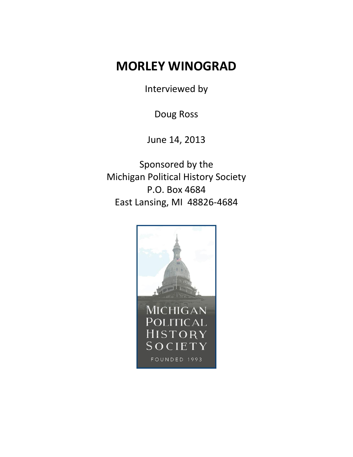## **MORLEY WINOGRAD**

Interviewed by

Doug Ross

June 14, 2013

Sponsored by the Michigan Political History Society P.O. Box 4684 East Lansing, MI 48826-4684

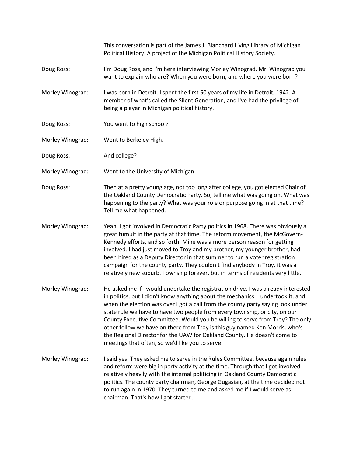This conversation is part of the James J. Blanchard Living Library of Michigan Political History. A project of the Michigan Political History Society. Doug Ross: I'm Doug Ross, and I'm here interviewing Morley Winograd. Mr. Winograd you want to explain who are? When you were born, and where you were born? Morley Winograd: I was born in Detroit. I spent the first 50 years of my life in Detroit, 1942. A member of what's called the Silent Generation, and I've had the privilege of being a player in Michigan political history. Doug Ross: You went to high school? Morley Winograd: Went to Berkeley High. Doug Ross: And college? Morley Winograd: Went to the University of Michigan. Doug Ross: Then at a pretty young age, not too long after college, you got elected Chair of the Oakland County Democratic Party. So, tell me what was going on. What was happening to the party? What was your role or purpose going in at that time? Tell me what happened. Morley Winograd: Yeah, I got involved in Democratic Party politics in 1968. There was obviously a great tumult in the party at that time. The reform movement, the McGovern-Kennedy efforts, and so forth. Mine was a more person reason for getting involved. I had just moved to Troy and my brother, my younger brother, had been hired as a Deputy Director in that summer to run a voter registration campaign for the county party. They couldn't find anybody in Troy, it was a relatively new suburb. Township forever, but in terms of residents very little. Morley Winograd: He asked me if I would undertake the registration drive. I was already interested in politics, but I didn't know anything about the mechanics. I undertook it, and when the election was over I got a call from the county party saying look under state rule we have to have two people from every township, or city, on our County Executive Committee. Would you be willing to serve from Troy? The only other fellow we have on there from Troy is this guy named Ken Morris, who's the Regional Director for the UAW for Oakland County. He doesn't come to meetings that often, so we'd like you to serve. Morley Winograd: I said yes. They asked me to serve in the Rules Committee, because again rules and reform were big in party activity at the time. Through that I got involved relatively heavily with the internal politicing in Oakland County Democratic politics. The county party chairman, George Gugasian, at the time decided not to run again in 1970. They turned to me and asked me if I would serve as chairman. That's how I got started.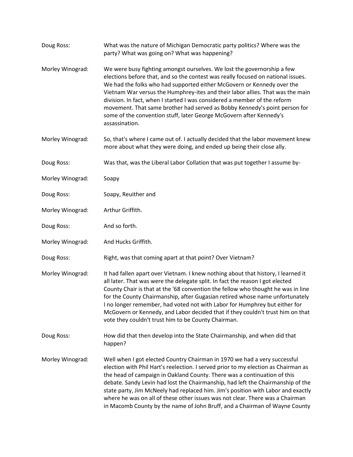| Doug Ross:       | What was the nature of Michigan Democratic party politics? Where was the<br>party? What was going on? What was happening?                                                                                                                                                                                                                                                                                                                                                                                                                                                         |
|------------------|-----------------------------------------------------------------------------------------------------------------------------------------------------------------------------------------------------------------------------------------------------------------------------------------------------------------------------------------------------------------------------------------------------------------------------------------------------------------------------------------------------------------------------------------------------------------------------------|
| Morley Winograd: | We were busy fighting amongst ourselves. We lost the governorship a few<br>elections before that, and so the contest was really focused on national issues.<br>We had the folks who had supported either McGovern or Kennedy over the<br>Vietnam War versus the Humphrey-ites and their labor allies. That was the main<br>division. In fact, when I started I was considered a member of the reform<br>movement. That same brother had served as Bobby Kennedy's point person for<br>some of the convention stuff, later George McGovern after Kennedy's<br>assassination.       |
| Morley Winograd: | So, that's where I came out of. I actually decided that the labor movement knew<br>more about what they were doing, and ended up being their close ally.                                                                                                                                                                                                                                                                                                                                                                                                                          |
| Doug Ross:       | Was that, was the Liberal Labor Collation that was put together I assume by-                                                                                                                                                                                                                                                                                                                                                                                                                                                                                                      |
| Morley Winograd: | Soapy                                                                                                                                                                                                                                                                                                                                                                                                                                                                                                                                                                             |
| Doug Ross:       | Soapy, Reuither and                                                                                                                                                                                                                                                                                                                                                                                                                                                                                                                                                               |
| Morley Winograd: | Arthur Griffith.                                                                                                                                                                                                                                                                                                                                                                                                                                                                                                                                                                  |
| Doug Ross:       | And so forth.                                                                                                                                                                                                                                                                                                                                                                                                                                                                                                                                                                     |
| Morley Winograd: | And Hucks Griffith.                                                                                                                                                                                                                                                                                                                                                                                                                                                                                                                                                               |
| Doug Ross:       | Right, was that coming apart at that point? Over Vietnam?                                                                                                                                                                                                                                                                                                                                                                                                                                                                                                                         |
| Morley Winograd: | It had fallen apart over Vietnam. I knew nothing about that history, I learned it<br>all later. That was were the delegate split. In fact the reason I got elected<br>County Chair is that at the '68 convention the fellow who thought he was in line<br>for the County Chairmanship, after Gugasian retired whose name unfortunately<br>I no longer remember, had voted not with Labor for Humphrey but either for<br>McGovern or Kennedy, and Labor decided that if they couldn't trust him on that<br>vote they couldn't trust him to be County Chairman.                     |
| Doug Ross:       | How did that then develop into the State Chairmanship, and when did that<br>happen?                                                                                                                                                                                                                                                                                                                                                                                                                                                                                               |
| Morley Winograd: | Well when I got elected Country Chairman in 1970 we had a very successful<br>election with Phil Hart's reelection. I served prior to my election as Chairman as<br>the head of campaign in Oakland County. There was a continuation of this<br>debate. Sandy Levin had lost the Chairmanship, had left the Chairmanship of the<br>state party, Jim McNeely had replaced him. Jim's position with Labor and exactly<br>where he was on all of these other issues was not clear. There was a Chairman<br>in Macomb County by the name of John Bruff, and a Chairman of Wayne County |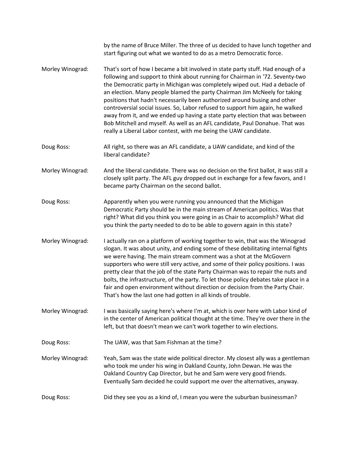|                  | by the name of Bruce Miller. The three of us decided to have lunch together and<br>start figuring out what we wanted to do as a metro Democratic force.                                                                                                                                                                                                                                                                                                                                                                                                                                                                                                                                                                          |
|------------------|----------------------------------------------------------------------------------------------------------------------------------------------------------------------------------------------------------------------------------------------------------------------------------------------------------------------------------------------------------------------------------------------------------------------------------------------------------------------------------------------------------------------------------------------------------------------------------------------------------------------------------------------------------------------------------------------------------------------------------|
| Morley Winograd: | That's sort of how I became a bit involved in state party stuff. Had enough of a<br>following and support to think about running for Chairman in '72. Seventy-two<br>the Democratic party in Michigan was completely wiped out. Had a debacle of<br>an election. Many people blamed the party Chairman Jim McNeely for taking<br>positions that hadn't necessarily been authorized around busing and other<br>controversial social issues. So, Labor refused to support him again, he walked<br>away from it, and we ended up having a state party election that was between<br>Bob Mitchell and myself. As well as an AFL candidate, Paul Donahue. That was<br>really a Liberal Labor contest, with me being the UAW candidate. |
| Doug Ross:       | All right, so there was an AFL candidate, a UAW candidate, and kind of the<br>liberal candidate?                                                                                                                                                                                                                                                                                                                                                                                                                                                                                                                                                                                                                                 |
| Morley Winograd: | And the liberal candidate. There was no decision on the first ballot, it was still a<br>closely split party. The AFL guy dropped out in exchange for a few favors, and I<br>became party Chairman on the second ballot.                                                                                                                                                                                                                                                                                                                                                                                                                                                                                                          |
| Doug Ross:       | Apparently when you were running you announced that the Michigan<br>Democratic Party should be in the main stream of American politics. Was that<br>right? What did you think you were going in as Chair to accomplish? What did<br>you think the party needed to do to be able to govern again in this state?                                                                                                                                                                                                                                                                                                                                                                                                                   |
| Morley Winograd: | I actually ran on a platform of working together to win, that was the Winograd<br>slogan. It was about unity, and ending some of these debilitating internal fights<br>we were having. The main stream comment was a shot at the McGovern<br>supporters who were still very active, and some of their policy positions. I was<br>pretty clear that the job of the state Party Chairman was to repair the nuts and<br>bolts, the infrastructure, of the party. To let those policy debates take place in a<br>fair and open environment without direction or decision from the Party Chair.<br>That's how the last one had gotten in all kinds of trouble.                                                                        |
| Morley Winograd: | I was basically saying here's where I'm at, which is over here with Labor kind of<br>in the center of American political thought at the time. They're over there in the<br>left, but that doesn't mean we can't work together to win elections.                                                                                                                                                                                                                                                                                                                                                                                                                                                                                  |
| Doug Ross:       | The UAW, was that Sam Fishman at the time?                                                                                                                                                                                                                                                                                                                                                                                                                                                                                                                                                                                                                                                                                       |
| Morley Winograd: | Yeah, Sam was the state wide political director. My closest ally was a gentleman<br>who took me under his wing in Oakland County, John Dewan. He was the<br>Oakland Country Cap Director, but he and Sam were very good friends.<br>Eventually Sam decided he could support me over the alternatives, anyway.                                                                                                                                                                                                                                                                                                                                                                                                                    |
| Doug Ross:       | Did they see you as a kind of, I mean you were the suburban businessman?                                                                                                                                                                                                                                                                                                                                                                                                                                                                                                                                                                                                                                                         |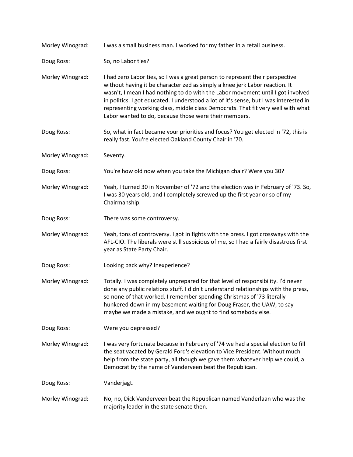| Morley Winograd: | I was a small business man. I worked for my father in a retail business.                                                                                                                                                                                                                                                                                                                                                                                                               |
|------------------|----------------------------------------------------------------------------------------------------------------------------------------------------------------------------------------------------------------------------------------------------------------------------------------------------------------------------------------------------------------------------------------------------------------------------------------------------------------------------------------|
| Doug Ross:       | So, no Labor ties?                                                                                                                                                                                                                                                                                                                                                                                                                                                                     |
| Morley Winograd: | I had zero Labor ties, so I was a great person to represent their perspective<br>without having it be characterized as simply a knee jerk Labor reaction. It<br>wasn't, I mean I had nothing to do with the Labor movement until I got involved<br>in politics. I got educated. I understood a lot of it's sense, but I was interested in<br>representing working class, middle class Democrats. That fit very well with what<br>Labor wanted to do, because those were their members. |
| Doug Ross:       | So, what in fact became your priorities and focus? You get elected in '72, this is<br>really fast. You're elected Oakland County Chair in '70.                                                                                                                                                                                                                                                                                                                                         |
| Morley Winograd: | Seventy.                                                                                                                                                                                                                                                                                                                                                                                                                                                                               |
| Doug Ross:       | You're how old now when you take the Michigan chair? Were you 30?                                                                                                                                                                                                                                                                                                                                                                                                                      |
| Morley Winograd: | Yeah, I turned 30 in November of '72 and the election was in February of '73. So,<br>I was 30 years old, and I completely screwed up the first year or so of my<br>Chairmanship.                                                                                                                                                                                                                                                                                                       |
| Doug Ross:       | There was some controversy.                                                                                                                                                                                                                                                                                                                                                                                                                                                            |
| Morley Winograd: | Yeah, tons of controversy. I got in fights with the press. I got crossways with the<br>AFL-CIO. The liberals were still suspicious of me, so I had a fairly disastrous first<br>year as State Party Chair.                                                                                                                                                                                                                                                                             |
| Doug Ross:       | Looking back why? Inexperience?                                                                                                                                                                                                                                                                                                                                                                                                                                                        |
| Morley Winograd: | Totally. I was completely unprepared for that level of responsibility. I'd never<br>done any public relations stuff. I didn't understand relationships with the press,<br>so none of that worked. I remember spending Christmas of '73 literally<br>hunkered down in my basement waiting for Doug Fraser, the UAW, to say<br>maybe we made a mistake, and we ought to find somebody else.                                                                                              |
| Doug Ross:       | Were you depressed?                                                                                                                                                                                                                                                                                                                                                                                                                                                                    |
| Morley Winograd: | I was very fortunate because in February of '74 we had a special election to fill<br>the seat vacated by Gerald Ford's elevation to Vice President. Without much<br>help from the state party, all though we gave them whatever help we could, a<br>Democrat by the name of Vanderveen beat the Republican.                                                                                                                                                                            |
| Doug Ross:       | Vanderjagt.                                                                                                                                                                                                                                                                                                                                                                                                                                                                            |
| Morley Winograd: | No, no, Dick Vanderveen beat the Republican named Vanderlaan who was the<br>majority leader in the state senate then.                                                                                                                                                                                                                                                                                                                                                                  |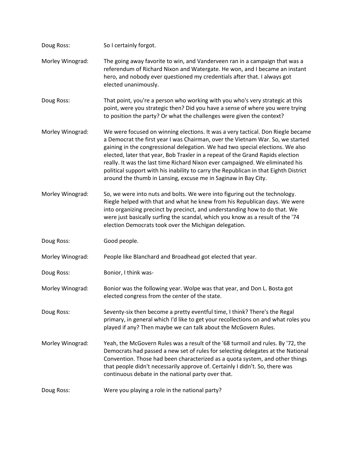| Doug Ross:       | So I certainly forgot.                                                                                                                                                                                                                                                                                                                                                                                                                                                                                                                                                           |
|------------------|----------------------------------------------------------------------------------------------------------------------------------------------------------------------------------------------------------------------------------------------------------------------------------------------------------------------------------------------------------------------------------------------------------------------------------------------------------------------------------------------------------------------------------------------------------------------------------|
| Morley Winograd: | The going away favorite to win, and Vanderveen ran in a campaign that was a<br>referendum of Richard Nixon and Watergate. He won, and I became an instant<br>hero, and nobody ever questioned my credentials after that. I always got<br>elected unanimously.                                                                                                                                                                                                                                                                                                                    |
| Doug Ross:       | That point, you're a person who working with you who's very strategic at this<br>point, were you strategic then? Did you have a sense of where you were trying<br>to position the party? Or what the challenges were given the context?                                                                                                                                                                                                                                                                                                                                          |
| Morley Winograd: | We were focused on winning elections. It was a very tactical. Don Riegle became<br>a Democrat the first year I was Chairman, over the Vietnam War. So, we started<br>gaining in the congressional delegation. We had two special elections. We also<br>elected, later that year, Bob Traxler in a repeat of the Grand Rapids election<br>really. It was the last time Richard Nixon ever campaigned. We eliminated his<br>political support with his inability to carry the Republican in that Eighth District<br>around the thumb in Lansing, excuse me in Saginaw in Bay City. |
| Morley Winograd: | So, we were into nuts and bolts. We were into figuring out the technology.<br>Riegle helped with that and what he knew from his Republican days. We were<br>into organizing precinct by precinct, and understanding how to do that. We<br>were just basically surfing the scandal, which you know as a result of the '74<br>election Democrats took over the Michigan delegation.                                                                                                                                                                                                |
| Doug Ross:       | Good people.                                                                                                                                                                                                                                                                                                                                                                                                                                                                                                                                                                     |
| Morley Winograd: | People like Blanchard and Broadhead got elected that year.                                                                                                                                                                                                                                                                                                                                                                                                                                                                                                                       |
| Doug Ross:       | Bonior, I think was-                                                                                                                                                                                                                                                                                                                                                                                                                                                                                                                                                             |
| Morley Winograd: | Bonior was the following year. Wolpe was that year, and Don L. Bosta got<br>elected congress from the center of the state.                                                                                                                                                                                                                                                                                                                                                                                                                                                       |
| Doug Ross:       | Seventy-six then become a pretty eventful time, I think? There's the Regal<br>primary, in general which I'd like to get your recollections on and what roles you<br>played if any? Then maybe we can talk about the McGovern Rules.                                                                                                                                                                                                                                                                                                                                              |
| Morley Winograd: | Yeah, the McGovern Rules was a result of the '68 turmoil and rules. By '72, the<br>Democrats had passed a new set of rules for selecting delegates at the National<br>Convention. Those had been characterized as a quota system, and other things<br>that people didn't necessarily approve of. Certainly I didn't. So, there was<br>continuous debate in the national party over that.                                                                                                                                                                                         |
| Doug Ross:       | Were you playing a role in the national party?                                                                                                                                                                                                                                                                                                                                                                                                                                                                                                                                   |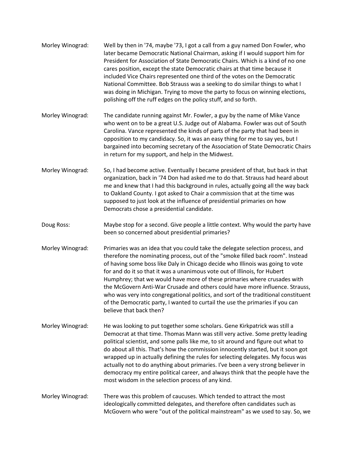- Morley Winograd: Well by then in '74, maybe '73, I got a call from a guy named Don Fowler, who later became Democratic National Chairman, asking if I would support him for President for Association of State Democratic Chairs. Which is a kind of no one cares position, except the state Democratic chairs at that time because it included Vice Chairs represented one third of the votes on the Democratic National Committee. Bob Strauss was a seeking to do similar things to what I was doing in Michigan. Trying to move the party to focus on winning elections, polishing off the ruff edges on the policy stuff, and so forth.
- Morley Winograd: The candidate running against Mr. Fowler, a guy by the name of Mike Vance who went on to be a great U.S. Judge out of Alabama. Fowler was out of South Carolina. Vance represented the kinds of parts of the party that had been in opposition to my candidacy. So, it was an easy thing for me to say yes, but I bargained into becoming secretary of the Association of State Democratic Chairs in return for my support, and help in the Midwest.
- Morley Winograd: So, I had become active. Eventually I became president of that, but back in that organization, back in '74 Don had asked me to do that. Strauss had heard about me and knew that I had this background in rules, actually going all the way back to Oakland County. I got asked to Chair a commission that at the time was supposed to just look at the influence of presidential primaries on how Democrats chose a presidential candidate.
- Doug Ross: Maybe stop for a second. Give people a little context. Why would the party have been so concerned about presidential primaries?
- Morley Winograd: Primaries was an idea that you could take the delegate selection process, and therefore the nominating process, out of the "smoke filled back room". Instead of having some boss like Daly in Chicago decide who Illinois was going to vote for and do it so that it was a unanimous vote out of Illinois, for Hubert Humphrey; that we would have more of these primaries where crusades with the McGovern Anti-War Crusade and others could have more influence. Strauss, who was very into congregational politics, and sort of the traditional constituent of the Democratic party, I wanted to curtail the use the primaries if you can believe that back then?
- Morley Winograd: He was looking to put together some scholars. Gene Kirkpatrick was still a Democrat at that time. Thomas Mann was still very active. Some pretty leading political scientist, and some palls like me, to sit around and figure out what to do about all this. That's how the commission innocently started, but it soon got wrapped up in actually defining the rules for selecting delegates. My focus was actually not to do anything about primaries. I've been a very strong believer in democracy my entire political career, and always think that the people have the most wisdom in the selection process of any kind.
- Morley Winograd: There was this problem of caucuses. Which tended to attract the most ideologically committed delegates, and therefore often candidates such as McGovern who were "out of the political mainstream" as we used to say. So, we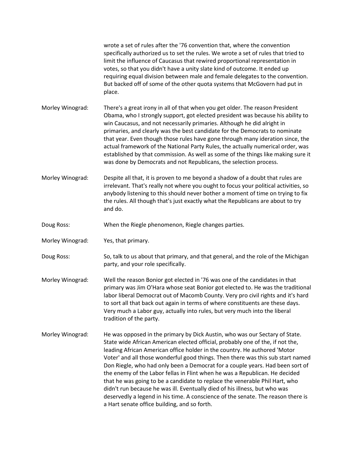|                  | wrote a set of rules after the '76 convention that, where the convention<br>specifically authorized us to set the rules. We wrote a set of rules that tried to<br>limit the influence of Caucasus that rewired proportional representation in<br>votes, so that you didn't have a unity slate kind of outcome. It ended up<br>requiring equal division between male and female delegates to the convention.<br>But backed off of some of the other quota systems that McGovern had put in<br>place.                                                                                                                                                                                                                                                                                            |
|------------------|------------------------------------------------------------------------------------------------------------------------------------------------------------------------------------------------------------------------------------------------------------------------------------------------------------------------------------------------------------------------------------------------------------------------------------------------------------------------------------------------------------------------------------------------------------------------------------------------------------------------------------------------------------------------------------------------------------------------------------------------------------------------------------------------|
| Morley Winograd: | There's a great irony in all of that when you get older. The reason President<br>Obama, who I strongly support, got elected president was because his ability to<br>win Caucasus, and not necessarily primaries. Although he did alright in<br>primaries, and clearly was the best candidate for the Democrats to nominate<br>that year. Even though those rules have gone through many ideration since, the<br>actual framework of the National Party Rules, the actually numerical order, was<br>established by that commission. As well as some of the things like making sure it<br>was done by Democrats and not Republicans, the selection process.                                                                                                                                      |
| Morley Winograd: | Despite all that, it is proven to me beyond a shadow of a doubt that rules are<br>irrelevant. That's really not where you ought to focus your political activities, so<br>anybody listening to this should never bother a moment of time on trying to fix<br>the rules. All though that's just exactly what the Republicans are about to try<br>and do.                                                                                                                                                                                                                                                                                                                                                                                                                                        |
| Doug Ross:       | When the Riegle phenomenon, Riegle changes parties.                                                                                                                                                                                                                                                                                                                                                                                                                                                                                                                                                                                                                                                                                                                                            |
| Morley Winograd: | Yes, that primary.                                                                                                                                                                                                                                                                                                                                                                                                                                                                                                                                                                                                                                                                                                                                                                             |
| Doug Ross:       | So, talk to us about that primary, and that general, and the role of the Michigan<br>party, and your role specifically.                                                                                                                                                                                                                                                                                                                                                                                                                                                                                                                                                                                                                                                                        |
| Morley Winograd: | Well the reason Bonior got elected in '76 was one of the candidates in that<br>primary was Jim O'Hara whose seat Bonior got elected to. He was the traditional<br>labor liberal Democrat out of Macomb County. Very pro civil rights and it's hard<br>to sort all that back out again in terms of where constituents are these days.<br>Very much a Labor guy, actually into rules, but very much into the liberal<br>tradition of the party.                                                                                                                                                                                                                                                                                                                                                  |
| Morley Winograd: | He was opposed in the primary by Dick Austin, who was our Sectary of State.<br>State wide African American elected official, probably one of the, if not the,<br>leading African American office holder in the country. He authored 'Motor<br>Voter' and all those wonderful good things. Then there was this sub start named<br>Don Riegle, who had only been a Democrat for a couple years. Had been sort of<br>the enemy of the Labor fellas in Flint when he was a Republican. He decided<br>that he was going to be a candidate to replace the venerable Phil Hart, who<br>didn't run because he was ill. Eventually died of his illness, but who was<br>deservedly a legend in his time. A conscience of the senate. The reason there is<br>a Hart senate office building, and so forth. |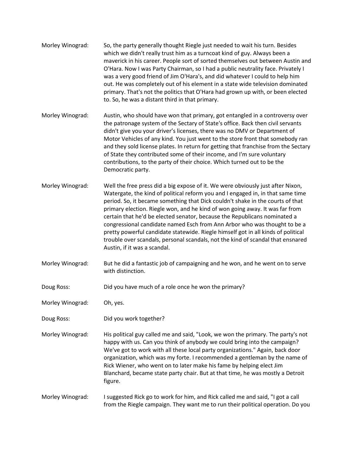- Morley Winograd: So, the party generally thought Riegle just needed to wait his turn. Besides which we didn't really trust him as a turncoat kind of guy. Always been a maverick in his career. People sort of sorted themselves out between Austin and O'Hara. Now I was Party Chairman, so I had a public neutrality face. Privately I was a very good friend of Jim O'Hara's, and did whatever I could to help him out. He was completely out of his element in a state wide television dominated primary. That's not the politics that O'Hara had grown up with, or been elected to. So, he was a distant third in that primary.
- Morley Winograd: Austin, who should have won that primary, got entangled in a controversy over the patronage system of the Sectary of State's office. Back then civil servants didn't give you your driver's licenses, there was no DMV or Department of Motor Vehicles of any kind. You just went to the store front that somebody ran and they sold license plates. In return for getting that franchise from the Sectary of State they contributed some of their income, and I'm sure voluntary contributions, to the party of their choice. Which turned out to be the Democratic party.
- Morley Winograd: Well the free press did a big expose of it. We were obviously just after Nixon, Watergate, the kind of political reform you and I engaged in, in that same time period. So, it became something that Dick couldn't shake in the courts of that primary election. Riegle won, and he kind of won going away. It was far from certain that he'd be elected senator, because the Republicans nominated a congressional candidate named Esch from Ann Arbor who was thought to be a pretty powerful candidate statewide. Riegle himself got in all kinds of political trouble over scandals, personal scandals, not the kind of scandal that ensnared Austin, if it was a scandal.
- Morley Winograd: But he did a fantastic job of campaigning and he won, and he went on to serve with distinction.
- Doug Ross: Did you have much of a role once he won the primary?
- Morley Winograd: Oh, yes.
- Doug Ross: Did you work together?
- Morley Winograd: His political guy called me and said, "Look, we won the primary. The party's not happy with us. Can you think of anybody we could bring into the campaign? We've got to work with all these local party organizations." Again, back door organization, which was my forte. I recommended a gentleman by the name of Rick Wiener, who went on to later make his fame by helping elect Jim Blanchard, became state party chair. But at that time, he was mostly a Detroit figure.
- Morley Winograd: I suggested Rick go to work for him, and Rick called me and said, "I got a call from the Riegle campaign. They want me to run their political operation. Do you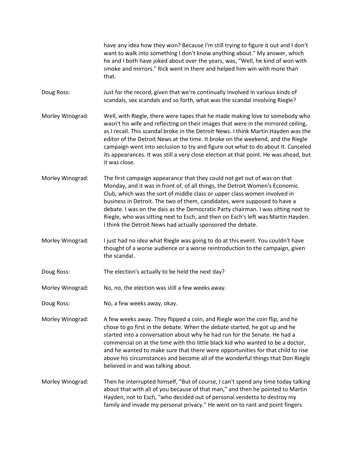have any idea how they won? Because I'm still trying to figure it out and I don't want to walk into something I don't know anything about." My answer, which he and I both have joked about over the years, was, "Well, he kind of won with smoke and mirrors." Rick went in there and helped him win with more than that.

Doug Ross: Just for the record, given that we're continually involved in various kinds of scandals, sex scandals and so forth, what was the scandal involving Riegle?

Morley Winograd: Well, with Riegle, there were tapes that he made making love to somebody who wasn't his wife and reflecting on their images that were in the mirrored ceiling, as I recall. This scandal broke in the Detroit News. I think Martin Hayden was the editor of the Detroit News at the time. It broke on the weekend, and the Riegle campaign went into seclusion to try and figure out what to do about it. Canceled its appearances. It was still a very close election at that point. He was ahead, but it was close.

Morley Winograd: The first campaign appearance that they could not get out of was on that Monday, and it was in front of, of all things, the Detroit Women's Economic Club, which was the sort of middle class or upper class women involved in business in Detroit. The two of them, candidates, were supposed to have a debate. I was on the dais as the Democratic Party chairman. I was sitting next to Riegle, who was sitting next to Esch, and then on Esch's left was Martin Hayden. I think the Detroit News had actually sponsored the debate.

Morley Winograd: I just had no idea what Riegle was going to do at this event. You couldn't have thought of a worse audience or a worse reintroduction to the campaign, given the scandal.

Doug Ross: The election's actually to be held the next day?

Morley Winograd: No, no, the election was still a few weeks away.

Doug Ross: No, a few weeks away, okay.

Morley Winograd: A few weeks away. They flipped a coin, and Riegle won the coin flip, and he chose to go first in the debate. When the debate started, he got up and he started into a conversation about why he had run for the Senate. He had a commercial on at the time with this little black kid who wanted to be a doctor, and he wanted to make sure that there were opportunities for that child to rise above his circumstances and become all of the wonderful things that Don Riegle believed in and was talking about.

Morley Winograd: Then he interrupted himself, "But of course, I can't spend any time today talking about that with all of you because of that man," and then he pointed to Martin Hayden, not to Esch, "who decided out of personal vendetta to destroy my family and invade my personal privacy." He went on to rant and point fingers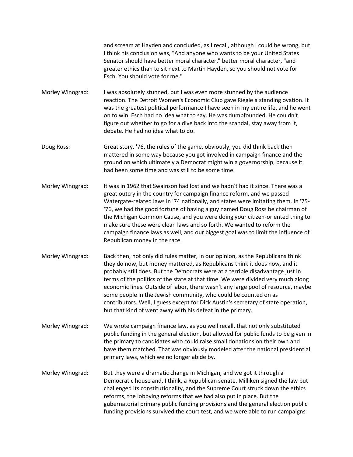and scream at Hayden and concluded, as I recall, although I could be wrong, but I think his conclusion was, "And anyone who wants to be your United States Senator should have better moral character," better moral character, "and greater ethics than to sit next to Martin Hayden, so you should not vote for Esch. You should vote for me."

Morley Winograd: I was absolutely stunned, but I was even more stunned by the audience reaction. The Detroit Women's Economic Club gave Riegle a standing ovation. It was the greatest political performance I have seen in my entire life, and he went on to win. Esch had no idea what to say. He was dumbfounded. He couldn't figure out whether to go for a dive back into the scandal, stay away from it, debate. He had no idea what to do.

Doug Ross: Great story. '76, the rules of the game, obviously, you did think back then mattered in some way because you got involved in campaign finance and the ground on which ultimately a Democrat might win a governorship, because it had been some time and was still to be some time.

- Morley Winograd: It was in 1962 that Swainson had lost and we hadn't had it since. There was a great outcry in the country for campaign finance reform, and we passed Watergate-related laws in '74 nationally, and states were imitating them. In '75- '76, we had the good fortune of having a guy named Doug Ross be chairman of the Michigan Common Cause, and you were doing your citizen-oriented thing to make sure these were clean laws and so forth. We wanted to reform the campaign finance laws as well, and our biggest goal was to limit the influence of Republican money in the race.
- Morley Winograd: Back then, not only did rules matter, in our opinion, as the Republicans think they do now, but money mattered, as Republicans think it does now, and it probably still does. But the Democrats were at a terrible disadvantage just in terms of the politics of the state at that time. We were divided very much along economic lines. Outside of labor, there wasn't any large pool of resource, maybe some people in the Jewish community, who could be counted on as contributors. Well, I guess except for Dick Austin's secretary of state operation, but that kind of went away with his defeat in the primary.
- Morley Winograd: We wrote campaign finance law, as you well recall, that not only substituted public funding in the general election, but allowed for public funds to be given in the primary to candidates who could raise small donations on their own and have them matched. That was obviously modeled after the national presidential primary laws, which we no longer abide by.
- Morley Winograd: But they were a dramatic change in Michigan, and we got it through a Democratic house and, I think, a Republican senate. Milliken signed the law but challenged its constitutionality, and the Supreme Court struck down the ethics reforms, the lobbying reforms that we had also put in place. But the gubernatorial primary public funding provisions and the general election public funding provisions survived the court test, and we were able to run campaigns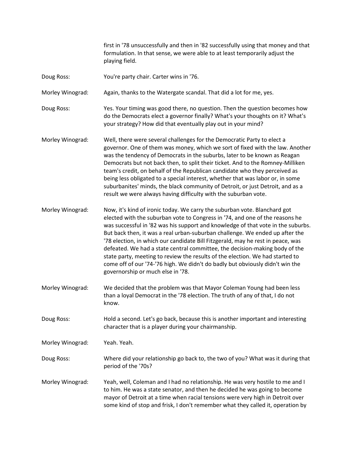first in '78 unsuccessfully and then in '82 successfully using that money and that formulation. In that sense, we were able to at least temporarily adjust the playing field.

Doug Ross: You're party chair. Carter wins in '76.

Morley Winograd: Again, thanks to the Watergate scandal. That did a lot for me, yes.

Doug Ross: Yes. Your timing was good there, no question. Then the question becomes how do the Democrats elect a governor finally? What's your thoughts on it? What's your strategy? How did that eventually play out in your mind?

Morley Winograd: Well, there were several challenges for the Democratic Party to elect a governor. One of them was money, which we sort of fixed with the law. Another was the tendency of Democrats in the suburbs, later to be known as Reagan Democrats but not back then, to split their ticket. And to the Romney-Milliken team's credit, on behalf of the Republican candidate who they perceived as being less obligated to a special interest, whether that was labor or, in some suburbanites' minds, the black community of Detroit, or just Detroit, and as a result we were always having difficulty with the suburban vote.

Morley Winograd: Now, it's kind of ironic today. We carry the suburban vote. Blanchard got elected with the suburban vote to Congress in '74, and one of the reasons he was successful in '82 was his support and knowledge of that vote in the suburbs. But back then, it was a real urban-suburban challenge. We ended up after the '78 election, in which our candidate Bill Fitzgerald, may he rest in peace, was defeated. We had a state central committee, the decision-making body of the state party, meeting to review the results of the election. We had started to come off of our '74-'76 high. We didn't do badly but obviously didn't win the governorship or much else in '78.

Morley Winograd: We decided that the problem was that Mayor Coleman Young had been less than a loyal Democrat in the '78 election. The truth of any of that, I do not know.

Doug Ross: Hold a second. Let's go back, because this is another important and interesting character that is a player during your chairmanship.

Morley Winograd: Yeah. Yeah.

Doug Ross: Where did your relationship go back to, the two of you? What was it during that period of the '70s?

Morley Winograd: Yeah, well, Coleman and I had no relationship. He was very hostile to me and I to him. He was a state senator, and then he decided he was going to become mayor of Detroit at a time when racial tensions were very high in Detroit over some kind of stop and frisk, I don't remember what they called it, operation by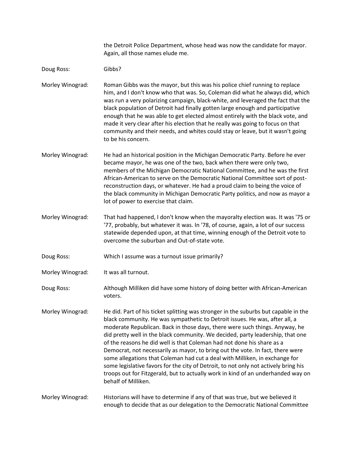the Detroit Police Department, whose head was now the candidate for mayor. Again, all those names elude me.

Doug Ross: Gibbs?

Morley Winograd: Roman Gibbs was the mayor, but this was his police chief running to replace him, and I don't know who that was. So, Coleman did what he always did, which was run a very polarizing campaign, black-white, and leveraged the fact that the black population of Detroit had finally gotten large enough and participative enough that he was able to get elected almost entirely with the black vote, and made it very clear after his election that he really was going to focus on that community and their needs, and whites could stay or leave, but it wasn't going to be his concern.

- Morley Winograd: He had an historical position in the Michigan Democratic Party. Before he ever became mayor, he was one of the two, back when there were only two, members of the Michigan Democratic National Committee, and he was the first African-American to serve on the Democratic National Committee sort of postreconstruction days, or whatever. He had a proud claim to being the voice of the black community in Michigan Democratic Party politics, and now as mayor a lot of power to exercise that claim.
- Morley Winograd: That had happened, I don't know when the mayoralty election was. It was '75 or '77, probably, but whatever it was. In '78, of course, again, a lot of our success statewide depended upon, at that time, winning enough of the Detroit vote to overcome the suburban and Out-of-state vote.
- Doug Ross: Which I assume was a turnout issue primarily?
- Morley Winograd: It was all turnout.

Doug Ross: Although Milliken did have some history of doing better with African-American voters.

Morley Winograd: He did. Part of his ticket splitting was stronger in the suburbs but capable in the black community. He was sympathetic to Detroit issues. He was, after all, a moderate Republican. Back in those days, there were such things. Anyway, he did pretty well in the black community. We decided, party leadership, that one of the reasons he did well is that Coleman had not done his share as a Democrat, not necessarily as mayor, to bring out the vote. In fact, there were some allegations that Coleman had cut a deal with Milliken, in exchange for some legislative favors for the city of Detroit, to not only not actively bring his troops out for Fitzgerald, but to actually work in kind of an underhanded way on behalf of Milliken.

Morley Winograd: Historians will have to determine if any of that was true, but we believed it enough to decide that as our delegation to the Democratic National Committee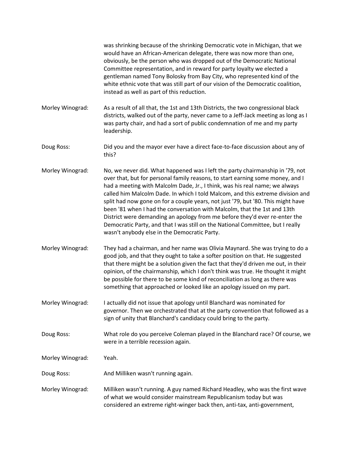|                  | was shrinking because of the shrinking Democratic vote in Michigan, that we<br>would have an African-American delegate, there was now more than one,<br>obviously, be the person who was dropped out of the Democratic National<br>Committee representation, and in reward for party loyalty we elected a<br>gentleman named Tony Bolosky from Bay City, who represented kind of the<br>white ethnic vote that was still part of our vision of the Democratic coalition,<br>instead as well as part of this reduction.                                                                                                                                                                                           |
|------------------|------------------------------------------------------------------------------------------------------------------------------------------------------------------------------------------------------------------------------------------------------------------------------------------------------------------------------------------------------------------------------------------------------------------------------------------------------------------------------------------------------------------------------------------------------------------------------------------------------------------------------------------------------------------------------------------------------------------|
| Morley Winograd: | As a result of all that, the 1st and 13th Districts, the two congressional black<br>districts, walked out of the party, never came to a Jeff-Jack meeting as long as I<br>was party chair, and had a sort of public condemnation of me and my party<br>leadership.                                                                                                                                                                                                                                                                                                                                                                                                                                               |
| Doug Ross:       | Did you and the mayor ever have a direct face-to-face discussion about any of<br>this?                                                                                                                                                                                                                                                                                                                                                                                                                                                                                                                                                                                                                           |
| Morley Winograd: | No, we never did. What happened was I left the party chairmanship in '79, not<br>over that, but for personal family reasons, to start earning some money, and I<br>had a meeting with Malcolm Dade, Jr., I think, was his real name; we always<br>called him Malcolm Dade. In which I told Malcom, and this extreme division and<br>split had now gone on for a couple years, not just '79, but '80. This might have<br>been '81 when I had the conversation with Malcolm, that the 1st and 13th<br>District were demanding an apology from me before they'd ever re-enter the<br>Democratic Party, and that I was still on the National Committee, but I really<br>wasn't anybody else in the Democratic Party. |
| Morley Winograd: | They had a chairman, and her name was Olivia Maynard. She was trying to do a<br>good job, and that they ought to take a softer position on that. He suggested<br>that there might be a solution given the fact that they'd driven me out, in their<br>opinion, of the chairmanship, which I don't think was true. He thought it might<br>be possible for there to be some kind of reconciliation as long as there was<br>something that approached or looked like an apology issued on my part.                                                                                                                                                                                                                  |
| Morley Winograd: | I actually did not issue that apology until Blanchard was nominated for<br>governor. Then we orchestrated that at the party convention that followed as a<br>sign of unity that Blanchard's candidacy could bring to the party.                                                                                                                                                                                                                                                                                                                                                                                                                                                                                  |
| Doug Ross:       | What role do you perceive Coleman played in the Blanchard race? Of course, we<br>were in a terrible recession again.                                                                                                                                                                                                                                                                                                                                                                                                                                                                                                                                                                                             |
| Morley Winograd: | Yeah.                                                                                                                                                                                                                                                                                                                                                                                                                                                                                                                                                                                                                                                                                                            |
| Doug Ross:       | And Milliken wasn't running again.                                                                                                                                                                                                                                                                                                                                                                                                                                                                                                                                                                                                                                                                               |
| Morley Winograd: | Milliken wasn't running. A guy named Richard Headley, who was the first wave<br>of what we would consider mainstream Republicanism today but was<br>considered an extreme right-winger back then, anti-tax, anti-government,                                                                                                                                                                                                                                                                                                                                                                                                                                                                                     |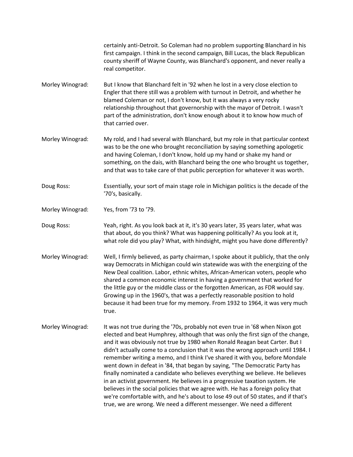certainly anti-Detroit. So Coleman had no problem supporting Blanchard in his first campaign. I think in the second campaign, Bill Lucas, the black Republican county sheriff of Wayne County, was Blanchard's opponent, and never really a real competitor.

- Morley Winograd: But I know that Blanchard felt in '92 when he lost in a very close election to Engler that there still was a problem with turnout in Detroit, and whether he blamed Coleman or not, I don't know, but it was always a very rocky relationship throughout that governorship with the mayor of Detroit. I wasn't part of the administration, don't know enough about it to know how much of that carried over.
- Morley Winograd: My rold, and I had several with Blanchard, but my role in that particular context was to be the one who brought reconciliation by saying something apologetic and having Coleman, I don't know, hold up my hand or shake my hand or something, on the dais, with Blanchard being the one who brought us together, and that was to take care of that public perception for whatever it was worth.
- Doug Ross: Essentially, your sort of main stage role in Michigan politics is the decade of the '70's, basically.
- Morley Winograd: Yes, from '73 to '79.
- Doug Ross: Yeah, right. As you look back at it, it's 30 years later, 35 years later, what was that about, do you think? What was happening politically? As you look at it, what role did you play? What, with hindsight, might you have done differently?
- Morley Winograd: Well, I firmly believed, as party chairman, I spoke about it publicly, that the only way Democrats in Michigan could win statewide was with the energizing of the New Deal coalition. Labor, ethnic whites, African-American voters, people who shared a common economic interest in having a government that worked for the little guy or the middle class or the forgotten American, as FDR would say. Growing up in the 1960's, that was a perfectly reasonable position to hold because it had been true for my memory. From 1932 to 1964, it was very much true.
- Morley Winograd: It was not true during the '70s, probably not even true in '68 when Nixon got elected and beat Humphrey, although that was only the first sign of the change, and it was obviously not true by 1980 when Ronald Reagan beat Carter. But I didn't actually come to a conclusion that it was the wrong approach until 1984. I remember writing a memo, and I think I've shared it with you, before Mondale went down in defeat in '84, that began by saying, "The Democratic Party has finally nominated a candidate who believes everything we believe. He believes in an activist government. He believes in a progressive taxation system. He believes in the social policies that we agree with. He has a foreign policy that we're comfortable with, and he's about to lose 49 out of 50 states, and if that's true, we are wrong. We need a different messenger. We need a different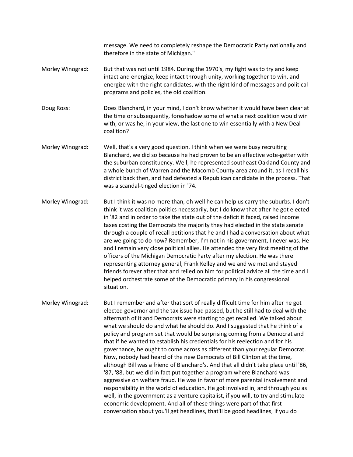message. We need to completely reshape the Democratic Party nationally and therefore in the state of Michigan."

- Morley Winograd: But that was not until 1984. During the 1970's, my fight was to try and keep intact and energize, keep intact through unity, working together to win, and energize with the right candidates, with the right kind of messages and political programs and policies, the old coalition.
- Doug Ross: Does Blanchard, in your mind, I don't know whether it would have been clear at the time or subsequently, foreshadow some of what a next coalition would win with, or was he, in your view, the last one to win essentially with a New Deal coalition?
- Morley Winograd: Well, that's a very good question. I think when we were busy recruiting Blanchard, we did so because he had proven to be an effective vote-getter with the suburban constituency. Well, he represented southeast Oakland County and a whole bunch of Warren and the Macomb County area around it, as I recall his district back then, and had defeated a Republican candidate in the process. That was a scandal-tinged election in '74.
- Morley Winograd: But I think it was no more than, oh well he can help us carry the suburbs. I don't think it was coalition politics necessarily, but I do know that after he got elected in '82 and in order to take the state out of the deficit it faced, raised income taxes costing the Democrats the majority they had elected in the state senate through a couple of recall petitions that he and I had a conversation about what are we going to do now? Remember, I'm not in his government, I never was. He and I remain very close political allies. He attended the very first meeting of the officers of the Michigan Democratic Party after my election. He was there representing attorney general, Frank Kelley and we and we met and stayed friends forever after that and relied on him for political advice all the time and I helped orchestrate some of the Democratic primary in his congressional situation.

Morley Winograd: But I remember and after that sort of really difficult time for him after he got elected governor and the tax issue had passed, but he still had to deal with the aftermath of it and Democrats were starting to get recalled. We talked about what we should do and what he should do. And I suggested that he think of a policy and program set that would be surprising coming from a Democrat and that if he wanted to establish his credentials for his reelection and for his governance, he ought to come across as different than your regular Democrat. Now, nobody had heard of the new Democrats of Bill Clinton at the time, although Bill was a friend of Blanchard's. And that all didn't take place until '86, '87, '88, but we did in fact put together a program where Blanchard was aggressive on welfare fraud. He was in favor of more parental involvement and responsibility in the world of education. He got involved in, and through you as well, in the government as a venture capitalist, if you will, to try and stimulate economic development. And all of these things were part of that first conversation about you'll get headlines, that'll be good headlines, if you do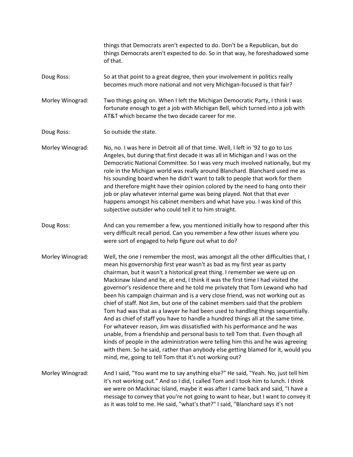things that Democrats aren't expected to do. Don't be a Republican, but do things Democrats aren't expected to do. So in that way, he foreshadowed some of that. Doug Ross: So at that point to a great degree, then your involvement in politics really becomes much more national and not very Michigan-focused is that fair? Morley Winograd: Two things going on. When I left the Michigan Democratic Party, I think I was fortunate enough to get a job with Michigan Bell, which turned into a job with AT&T which became the two decade career for me. Doug Ross: So outside the state. Morley Winograd: No, no. I was here in Detroit all of that time. Well, I left in '92 to go to Los Angeles, but during that first decade it was all in Michigan and I was on the Democratic National Committee. So I was very much involved nationally, but my role in the Michigan world was really around Blanchard. Blanchard used me as his sounding board when he didn't want to talk to people that work for them and therefore might have their opinion colored by the need to hang onto their job or play whatever internal game was being played. Not that that ever happens amongst his cabinet members and what have you. I was kind of this subjective outsider who could tell it to him straight. Doug Ross: And can you remember a few, you mentioned initially how to respond after this very difficult recall period. Can you remember a few other issues where you were sort of engaged to help figure out what to do? Morley Winograd: Well, the one I remember the most, was amongst all the other difficulties that, I mean his governorship first year wasn't as bad as my first year as party chairman, but it wasn't a historical great thing. I remember we were up on Mackinaw Island and he, at end, I think it was the first time I had visited the governor's residence there and he told me privately that Tom Lewand who had been his campaign chairman and is a very close friend, was not working out as chief of staff. Not Jim, but one of the cabinet members said that the problem Tom had was that as a lawyer he had been used to handling things sequentially. And as chief of staff you have to handle a hundred things all at the same time. For whatever reason, Jim was dissatisfied with his performance and he was unable, from a friendship and personal basis to tell Tom that. Even though all kinds of people in the administration were telling him this and he was agreeing with them. So he said, rather than anybody else getting blamed for it, would you mind, me, going to tell Tom that it's not working out? Morley Winograd: And I said, "You want me to say anything else?" He said, "Yeah. No, just tell him it's not working out." And so I did, I called Tom and I took him to lunch. I think we were on Mackinac Island, maybe it was after I came back and said, "I have a message to convey that you're not going to want to hear, but I want to convey it as it was told to me. He said, "what's that?" I said, "Blanchard says it's not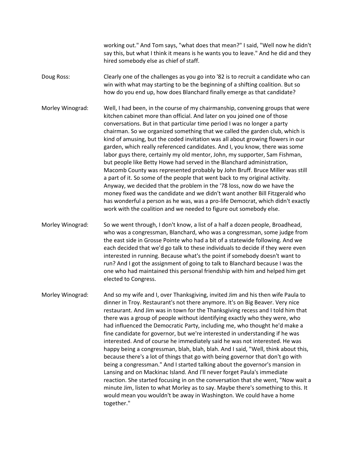working out." And Tom says, "what does that mean?" I said, "Well now he didn't say this, but what I think it means is he wants you to leave." And he did and they hired somebody else as chief of staff.

Doug Ross: Clearly one of the challenges as you go into '82 is to recruit a candidate who can win with what may starting to be the beginning of a shifting coalition. But so how do you end up, how does Blanchard finally emerge as that candidate?

Morley Winograd: Well, I had been, in the course of my chairmanship, convening groups that were kitchen cabinet more than official. And later on you joined one of those conversations. But in that particular time period I was no longer a party chairman. So we organized something that we called the garden club, which is kind of amusing, but the coded invitation was all about growing flowers in our garden, which really referenced candidates. And I, you know, there was some labor guys there, certainly my old mentor, John, my supporter, Sam Fishman, but people like Betty Howe had served in the Blanchard administration, Macomb County was represented probably by John Bruff. Bruce Miller was still a part of it. So some of the people that went back to my original activity. Anyway, we decided that the problem in the '78 loss, now do we have the money fixed was the candidate and we didn't want another Bill Fitzgerald who has wonderful a person as he was, was a pro-life Democrat, which didn't exactly work with the coalition and we needed to figure out somebody else.

Morley Winograd: So we went through, I don't know, a list of a half a dozen people, Broadhead, who was a congressman, Blanchard, who was a congressman, some judge from the east side in Grosse Pointe who had a bit of a statewide following. And we each decided that we'd go talk to these individuals to decide if they were even interested in running. Because what's the point if somebody doesn't want to run? And I got the assignment of going to talk to Blanchard because I was the one who had maintained this personal friendship with him and helped him get elected to Congress.

Morley Winograd: And so my wife and I, over Thanksgiving, invited Jim and his then wife Paula to dinner in Troy. Restaurant's not there anymore. It's on Big Beaver. Very nice restaurant. And Jim was in town for the Thanksgiving recess and I told him that there was a group of people without identifying exactly who they were, who had influenced the Democratic Party, including me, who thought he'd make a fine candidate for governor, but we're interested in understanding if he was interested. And of course he immediately said he was not interested. He was happy being a congressman, blah, blah, blah. And I said, "Well, think about this, because there's a lot of things that go with being governor that don't go with being a congressman." And I started talking about the governor's mansion in Lansing and on Mackinac Island. And I'll never forget Paula's immediate reaction. She started focusing in on the conversation that she went, "Now wait a minute Jim, listen to what Morley as to say. Maybe there's something to this. It would mean you wouldn't be away in Washington. We could have a home together."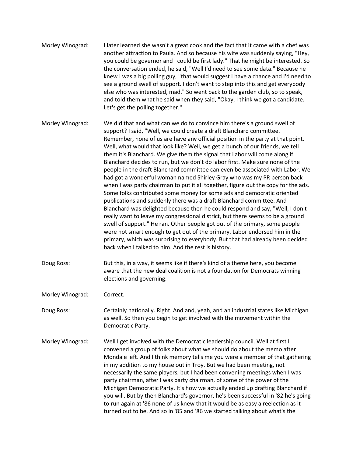- Morley Winograd: I later learned she wasn't a great cook and the fact that it came with a chef was another attraction to Paula. And so because his wife was suddenly saying, "Hey, you could be governor and I could be first lady." That he might be interested. So the conversation ended, he said, "Well I'd need to see some data." Because he knew I was a big polling guy, "that would suggest I have a chance and I'd need to see a ground swell of support. I don't want to step into this and get everybody else who was interested, mad." So went back to the garden club, so to speak, and told them what he said when they said, "Okay, I think we got a candidate. Let's get the polling together."
- Morley Winograd: We did that and what can we do to convince him there's a ground swell of support? I said, "Well, we could create a draft Blanchard committee. Remember, none of us are have any official position in the party at that point. Well, what would that look like? Well, we get a bunch of our friends, we tell them it's Blanchard. We give them the signal that Labor will come along if Blanchard decides to run, but we don't do labor first. Make sure none of the people in the draft Blanchard committee can even be associated with Labor. We had got a wonderful woman named Shirley Gray who was my PR person back when I was party chairman to put it all together, figure out the copy for the ads. Some folks contributed some money for some ads and democratic oriented publications and suddenly there was a draft Blanchard committee. And Blanchard was delighted because then he could respond and say, "Well, I don't really want to leave my congressional district, but there seems to be a ground swell of support." He ran. Other people got out of the primary, some people were not smart enough to get out of the primary. Labor endorsed him in the primary, which was surprising to everybody. But that had already been decided back when I talked to him. And the rest is history.
- Doug Ross: But this, in a way, it seems like if there's kind of a theme here, you become aware that the new deal coalition is not a foundation for Democrats winning elections and governing.
- Morley Winograd: Correct.

Doug Ross: Certainly nationally. Right. And and, yeah, and an industrial states like Michigan as well. So then you begin to get involved with the movement within the Democratic Party.

Morley Winograd: Well I get involved with the Democratic leadership council. Well at first I convened a group of folks about what we should do about the memo after Mondale left. And I think memory tells me you were a member of that gathering in my addition to my house out in Troy. But we had been meeting, not necessarily the same players, but I had been convening meetings when I was party chairman, after I was party chairman, of some of the power of the Michigan Democratic Party. It's how we actually ended up drafting Blanchard if you will. But by then Blanchard's governor, he's been successful in '82 he's going to run again at '86 none of us knew that it would be as easy a reelection as it turned out to be. And so in '85 and '86 we started talking about what's the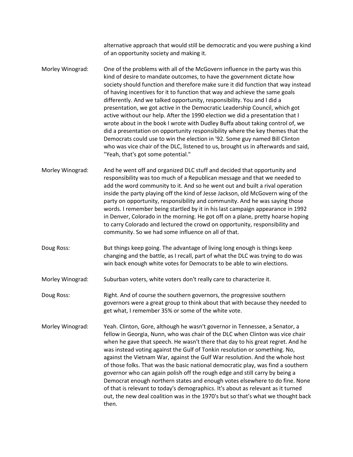alternative approach that would still be democratic and you were pushing a kind of an opportunity society and making it.

Morley Winograd: One of the problems with all of the McGovern influence in the party was this kind of desire to mandate outcomes, to have the government dictate how society should function and therefore make sure it did function that way instead of having incentives for it to function that way and achieve the same goals differently. And we talked opportunity, responsibility. You and I did a presentation, we got active in the Democratic Leadership Council, which got active without our help. After the 1990 election we did a presentation that I wrote about in the book I wrote with Dudley Buffa about taking control of, we did a presentation on opportunity responsibility where the key themes that the Democrats could use to win the election in '92. Some guy named Bill Clinton who was vice chair of the DLC, listened to us, brought us in afterwards and said, "Yeah, that's got some potential."

Morley Winograd: And he went off and organized DLC stuff and decided that opportunity and responsibility was too much of a Republican message and that we needed to add the word community to it. And so he went out and built a rival operation inside the party playing off the kind of Jesse Jackson, old McGovern wing of the party on opportunity, responsibility and community. And he was saying those words. I remember being startled by it in his last campaign appearance in 1992 in Denver, Colorado in the morning. He got off on a plane, pretty hoarse hoping to carry Colorado and lectured the crowd on opportunity, responsibility and community. So we had some influence on all of that.

Doug Ross: But things keep going. The advantage of living long enough is things keep changing and the battle, as I recall, part of what the DLC was trying to do was win back enough white votes for Democrats to be able to win elections.

Morley Winograd: Suburban voters, white voters don't really care to characterize it.

Doug Ross: Right. And of course the southern governors, the progressive southern governors were a great group to think about that with because they needed to get what, I remember 35% or some of the white vote.

Morley Winograd: Yeah. Clinton, Gore, although he wasn't governor in Tennessee, a Senator, a fellow in Georgia, Nunn, who was chair of the DLC when Clinton was vice chair when he gave that speech. He wasn't there that day to his great regret. And he was instead voting against the Gulf of Tonkin resolution or something. No, against the Vietnam War, against the Gulf War resolution. And the whole host of those folks. That was the basic national democratic play, was find a southern governor who can again polish off the rough edge and still carry by being a Democrat enough northern states and enough votes elsewhere to do fine. None of that is relevant to today's demographics. It's about as relevant as it turned out, the new deal coalition was in the 1970's but so that's what we thought back then.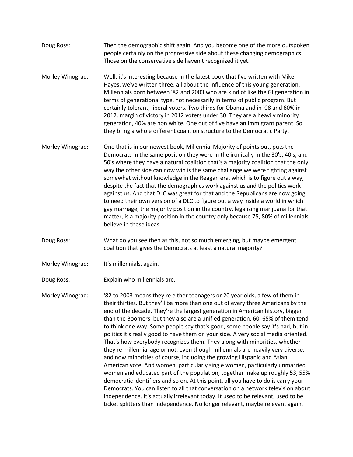- Doug Ross: Then the demographic shift again. And you become one of the more outspoken people certainly on the progressive side about these changing demographics. Those on the conservative side haven't recognized it yet.
- Morley Winograd: Well, it's interesting because in the latest book that I've written with Mike Hayes, we've written three, all about the influence of this young generation. Millennials born between '82 and 2003 who are kind of like the GI generation in terms of generational type, not necessarily in terms of public program. But certainly tolerant, liberal voters. Two thirds for Obama and in '08 and 60% in 2012. margin of victory in 2012 voters under 30. They are a heavily minority generation, 40% are non white. One out of five have an immigrant parent. So they bring a whole different coalition structure to the Democratic Party.
- Morley Winograd: One that is in our newest book, Millennial Majority of points out, puts the Democrats in the same position they were in the ironically in the 30's, 40's, and 50's where they have a natural coalition that's a majority coalition that the only way the other side can now win is the same challenge we were fighting against somewhat without knowledge in the Reagan era, which is to figure out a way, despite the fact that the demographics work against us and the politics work against us. And that DLC was great for that and the Republicans are now going to need their own version of a DLC to figure out a way inside a world in which gay marriage, the majority position in the country, legalizing marijuana for that matter, is a majority position in the country only because 75, 80% of millennials believe in those ideas.
- Doug Ross: What do you see then as this, not so much emerging, but maybe emergent coalition that gives the Democrats at least a natural majority?
- Morley Winograd: It's millennials, again.
- Doug Ross: Explain who millennials are.

Morley Winograd: '82 to 2003 means they're either teenagers or 20 year olds, a few of them in their thirties. But they'll be more than one out of every three Americans by the end of the decade. They're the largest generation in American history, bigger than the Boomers, but they also are a unified generation. 60, 65% of them tend to think one way. Some people say that's good, some people say it's bad, but in politics it's really good to have them on your side. A very social media oriented. That's how everybody recognizes them. They along with minorities, whether they're millennial age or not, even though millennials are heavily very diverse, and now minorities of course, including the growing Hispanic and Asian American vote. And women, particularly single women, particularly unmarried women and educated part of the population, together make up roughly 53, 55% democratic identifiers and so on. At this point, all you have to do is carry your Democrats. You can listen to all that conversation on a network television about independence. It's actually irrelevant today. It used to be relevant, used to be ticket splitters than independence. No longer relevant, maybe relevant again.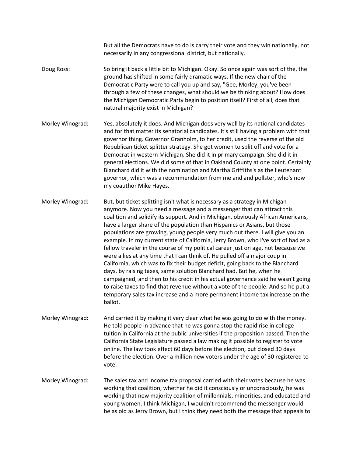But all the Democrats have to do is carry their vote and they win nationally, not necessarily in any congressional district, but nationally.

- Doug Ross: So bring it back a little bit to Michigan. Okay. So once again was sort of the, the ground has shifted in some fairly dramatic ways. If the new chair of the Democratic Party were to call you up and say, "Gee, Morley, you've been through a few of these changes, what should we be thinking about? How does the Michigan Democratic Party begin to position itself? First of all, does that natural majority exist in Michigan?
- Morley Winograd: Yes, absolutely it does. And Michigan does very well by its national candidates and for that matter its senatorial candidates. It's still having a problem with that governor thing. Governor Granholm, to her credit, used the reverse of the old Republican ticket splitter strategy. She got women to split off and vote for a Democrat in western Michigan. She did it in primary campaign. She did it in general elections. We did some of that in Oakland County at one point. Certainly Blanchard did it with the nomination and Martha Griffiths's as the lieutenant governor, which was a recommendation from me and and pollster, who's now my coauthor Mike Hayes.
- Morley Winograd: But, but ticket splitting isn't what is necessary as a strategy in Michigan anymore. Now you need a message and a messenger that can attract this coalition and solidify its support. And in Michigan, obviously African Americans, have a larger share of the population than Hispanics or Asians, but those populations are growing, young people very much out there. I will give you an example. In my current state of California, Jerry Brown, who I've sort of had as a fellow traveler in the course of my political career just on age, not because we were allies at any time that I can think of. He pulled off a major coup in California, which was to fix their budget deficit, going back to the Blanchard days, by raising taxes, same solution Blanchard had. But he, when he campaigned, and then to his credit in his actual governance said he wasn't going to raise taxes to find that revenue without a vote of the people. And so he put a temporary sales tax increase and a more permanent income tax increase on the ballot.
- Morley Winograd: And carried it by making it very clear what he was going to do with the money. He told people in advance that he was gonna stop the rapid rise in college tuition in California at the public universities if the proposition passed. Then the California State Legislature passed a law making it possible to register to vote online. The law took effect 60 days before the election, but closed 30 days before the election. Over a million new voters under the age of 30 registered to vote.
- Morley Winograd: The sales tax and income tax proposal carried with their votes because he was working that coalition, whether he did it consciously or unconsciously, he was working that new majority coalition of millennials, minorities, and educated and young women. I think Michigan, I wouldn't recommend the messenger would be as old as Jerry Brown, but I think they need both the message that appeals to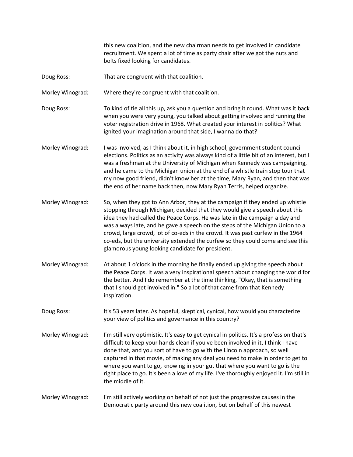this new coalition, and the new chairman needs to get involved in candidate recruitment. We spent a lot of time as party chair after we got the nuts and bolts fixed looking for candidates.

- Doug Ross: That are congruent with that coalition.
- Morley Winograd: Where they're congruent with that coalition.
- Doug Ross: To kind of tie all this up, ask you a question and bring it round. What was it back when you were very young, you talked about getting involved and running the voter registration drive in 1968. What created your interest in politics? What ignited your imagination around that side, I wanna do that?
- Morley Winograd: I was involved, as I think about it, in high school, government student council elections. Politics as an activity was always kind of a little bit of an interest, but I was a freshman at the University of Michigan when Kennedy was campaigning, and he came to the Michigan union at the end of a whistle train stop tour that my now good friend, didn't know her at the time, Mary Ryan, and then that was the end of her name back then, now Mary Ryan Terris, helped organize.
- Morley Winograd: So, when they got to Ann Arbor, they at the campaign if they ended up whistle stopping through Michigan, decided that they would give a speech about this idea they had called the Peace Corps. He was late in the campaign a day and was always late, and he gave a speech on the steps of the Michigan Union to a crowd, large crowd, lot of co-eds in the crowd. It was past curfew in the 1964 co-eds, but the university extended the curfew so they could come and see this glamorous young looking candidate for president.
- Morley Winograd: At about 1 o'clock in the morning he finally ended up giving the speech about the Peace Corps. It was a very inspirational speech about changing the world for the better. And I do remember at the time thinking, "Okay, that is something that I should get involved in." So a lot of that came from that Kennedy inspiration.
- Doug Ross: It's 53 years later. As hopeful, skeptical, cynical, how would you characterize your view of politics and governance in this country?
- Morley Winograd: I'm still very optimistic. It's easy to get cynical in politics. It's a profession that's difficult to keep your hands clean if you've been involved in it, I think I have done that, and you sort of have to go with the Lincoln approach, so well captured in that movie, of making any deal you need to make in order to get to where you want to go, knowing in your gut that where you want to go is the right place to go. It's been a love of my life. I've thoroughly enjoyed it. I'm still in the middle of it.
- Morley Winograd: I'm still actively working on behalf of not just the progressive causes in the Democratic party around this new coalition, but on behalf of this newest